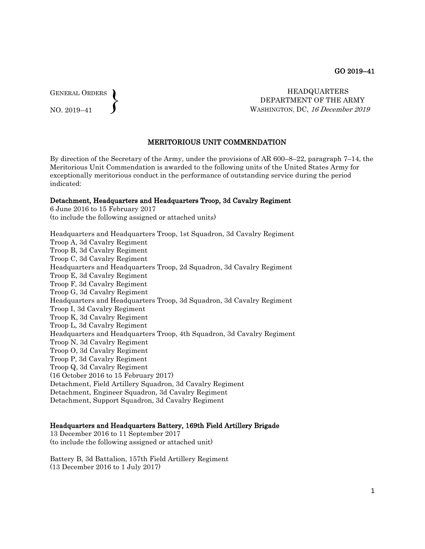GENERAL ORDERS  $\left\{ \right\}$ 

NO. 2019–41

 HEADQUARTERS DEPARTMENT OF THE ARMY WASHINGTON, DC, 16 December 2019

#### MERITORIOUS UNIT COMMENDATION

By direction of the Secretary of the Army, under the provisions of AR 600–8–22, paragraph 7–14, the Meritorious Unit Commendation is awarded to the following units of the United States Army for exceptionally meritorious conduct in the performance of outstanding service during the period indicated:

#### Detachment, Headquarters and Headquarters Troop, 3d Cavalry Regiment

6 June 2016 to 15 February 2017 (to include the following assigned or attached units)

Headquarters and Headquarters Troop, 1st Squadron, 3d Cavalry Regiment Troop A, 3d Cavalry Regiment Troop B, 3d Cavalry Regiment Troop C, 3d Cavalry Regiment Headquarters and Headquarters Troop, 2d Squadron, 3d Cavalry Regiment Troop E, 3d Cavalry Regiment Troop F, 3d Cavalry Regiment Troop G, 3d Cavalry Regiment Headquarters and Headquarters Troop, 3d Squadron, 3d Cavalry Regiment Troop I, 3d Cavalry Regiment Troop K, 3d Cavalry Regiment Troop L, 3d Cavalry Regiment Headquarters and Headquarters Troop, 4th Squadron, 3d Cavalry Regiment Troop N, 3d Cavalry Regiment Troop O, 3d Cavalry Regiment Troop P, 3d Cavalry Regiment Troop Q, 3d Cavalry Regiment (16 October 2016 to 15 February 2017) Detachment, Field Artillery Squadron, 3d Cavalry Regiment Detachment, Engineer Squadron, 3d Cavalry Regiment Detachment, Support Squadron, 3d Cavalry Regiment

#### Headquarters and Headquarters Battery, 169th Field Artillery Brigade

13 December 2016 to 11 September 2017 (to include the following assigned or attached unit)

Battery B, 3d Battalion, 157th Field Artillery Regiment (13 December 2016 to 1 July 2017)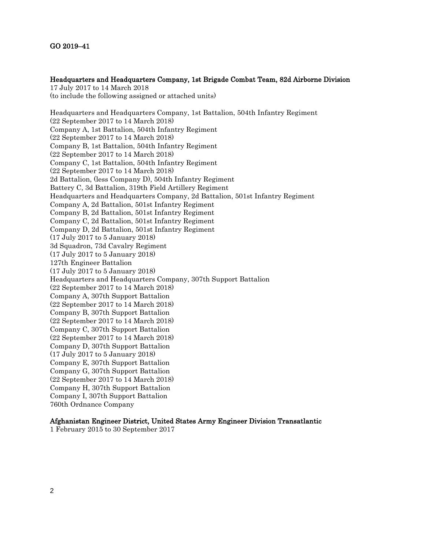# Headquarters and Headquarters Company, 1st Brigade Combat Team, 82d Airborne Division

17 July 2017 to 14 March 2018 (to include the following assigned or attached units) Headquarters and Headquarters Company, 1st Battalion, 504th Infantry Regiment (22 September 2017 to 14 March 2018) Company A, 1st Battalion, 504th Infantry Regiment (22 September 2017 to 14 March 2018) Company B, 1st Battalion, 504th Infantry Regiment (22 September 2017 to 14 March 2018) Company C, 1st Battalion, 504th Infantry Regiment (22 September 2017 to 14 March 2018) 2d Battalion, (less Company D), 504th Infantry Regiment Battery C, 3d Battalion, 319th Field Artillery Regiment Headquarters and Headquarters Company, 2d Battalion, 501st Infantry Regiment Company A, 2d Battalion, 501st Infantry Regiment Company B, 2d Battalion, 501st Infantry Regiment Company C, 2d Battalion, 501st Infantry Regiment Company D, 2d Battalion, 501st Infantry Regiment (17 July 2017 to 5 January 2018) 3d Squadron, 73d Cavalry Regiment (17 July 2017 to 5 January 2018) 127th Engineer Battalion (17 July 2017 to 5 January 2018) Headquarters and Headquarters Company, 307th Support Battalion (22 September 2017 to 14 March 2018) Company A, 307th Support Battalion (22 September 2017 to 14 March 2018) Company B, 307th Support Battalion (22 September 2017 to 14 March 2018) Company C, 307th Support Battalion (22 September 2017 to 14 March 2018) Company D, 307th Support Battalion (17 July 2017 to 5 January 2018) Company E, 307th Support Battalion Company G, 307th Support Battalion (22 September 2017 to 14 March 2018)

Company H, 307th Support Battalion Company I, 307th Support Battalion 760th Ordnance Company

# Afghanistan Engineer District, United States Army Engineer Division Transatlantic

1 February 2015 to 30 September 2017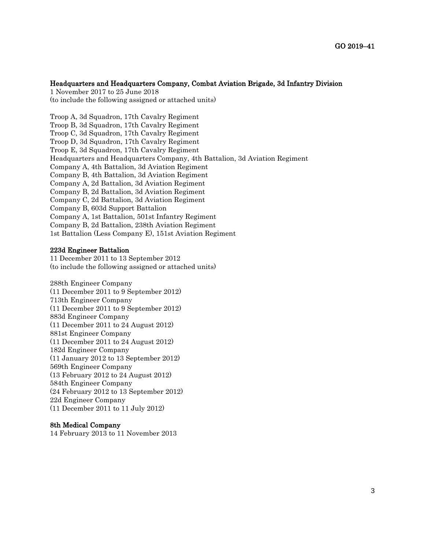#### Headquarters and Headquarters Company, Combat Aviation Brigade, 3d Infantry Division

1 November 2017 to 25 June 2018 (to include the following assigned or attached units)

Troop A, 3d Squadron, 17th Cavalry Regiment Troop B, 3d Squadron, 17th Cavalry Regiment Troop C, 3d Squadron, 17th Cavalry Regiment Troop D, 3d Squadron, 17th Cavalry Regiment Troop E, 3d Squadron, 17th Cavalry Regiment Headquarters and Headquarters Company, 4th Battalion, 3d Aviation Regiment Company A, 4th Battalion, 3d Aviation Regiment Company B, 4th Battalion, 3d Aviation Regiment Company A, 2d Battalion, 3d Aviation Regiment Company B, 2d Battalion, 3d Aviation Regiment Company C, 2d Battalion, 3d Aviation Regiment Company B, 603d Support Battalion Company A, 1st Battalion, 501st Infantry Regiment Company B, 2d Battalion, 238th Aviation Regiment 1st Battalion (Less Company E), 151st Aviation Regiment

#### 223d Engineer Battalion

11 December 2011 to 13 September 2012 (to include the following assigned or attached units)

288th Engineer Company (11 December 2011 to 9 September 2012) 713th Engineer Company (11 December 2011 to 9 September 2012) 883d Engineer Company (11 December 2011 to 24 August 2012) 881st Engineer Company (11 December 2011 to 24 August 2012) 182d Engineer Company (11 January 2012 to 13 September 2012) 569th Engineer Company (13 February 2012 to 24 August 2012) 584th Engineer Company (24 February 2012 to 13 September 2012) 22d Engineer Company (11 December 2011 to 11 July 2012)

#### 8th Medical Company

14 February 2013 to 11 November 2013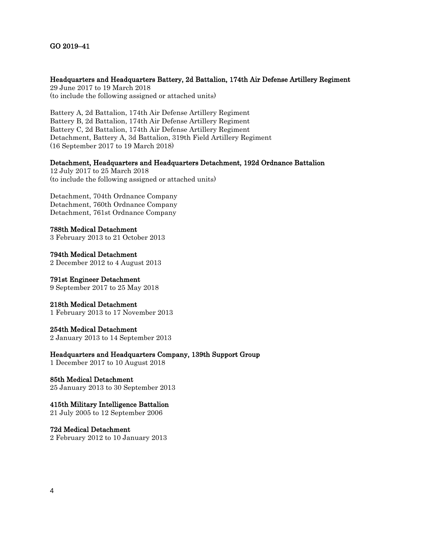## Headquarters and Headquarters Battery, 2d Battalion, 174th Air Defense Artillery Regiment

29 June 2017 to 19 March 2018 (to include the following assigned or attached units)

Battery A, 2d Battalion, 174th Air Defense Artillery Regiment Battery B, 2d Battalion, 174th Air Defense Artillery Regiment Battery C, 2d Battalion, 174th Air Defense Artillery Regiment Detachment, Battery A, 3d Battalion, 319th Field Artillery Regiment (16 September 2017 to 19 March 2018)

## Detachment, Headquarters and Headquarters Detachment, 192d Ordnance Battalion

12 July 2017 to 25 March 2018 (to include the following assigned or attached units)

Detachment, 704th Ordnance Company Detachment, 760th Ordnance Company Detachment, 761st Ordnance Company

788th Medical Detachment 3 February 2013 to 21 October 2013

794th Medical Detachment 2 December 2012 to 4 August 2013

791st Engineer Detachment 9 September 2017 to 25 May 2018

## 218th Medical Detachment

1 February 2013 to 17 November 2013

## 254th Medical Detachment

2 January 2013 to 14 September 2013

Headquarters and Headquarters Company, 139th Support Group

1 December 2017 to 10 August 2018

# 85th Medical Detachment

25 January 2013 to 30 September 2013

# 415th Military Intelligence Battalion

21 July 2005 to 12 September 2006

72d Medical Detachment 2 February 2012 to 10 January 2013